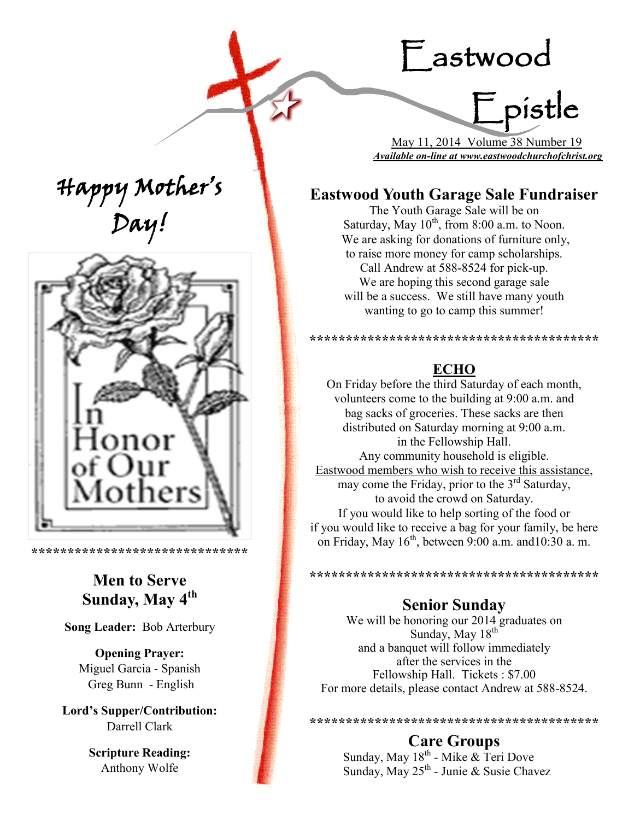# Eastwood Epistle





**\*\*\*\*\*\*\*\*\*\*\*\*\*\*\*\*\*\*\*\*\*\*\*\*\*\*\*\*\*\***

## **Men to Serve Sunday, May 4th**

**Song Leader:** Bob Arterbury

**Opening Prayer:** Miguel Garcia - Spanish Greg Bunn - English

**Lord's Supper/Contribution:**  Darrell Clark

> **Scripture Reading:**  Anthony Wolfe

 May 11, 2014 Volume 38 Number 19 *Available on-line at www.eastwoodchurchofchrist.org*

## **Eastwood Youth Garage Sale Fundraiser**

The Youth Garage Sale will be on Saturday, May  $10^{th}$ , from 8:00 a.m. to Noon. We are asking for donations of furniture only, to raise more money for camp scholarships. Call Andrew at 588-8524 for pick-up. We are hoping this second garage sale will be a success. We still have many youth wanting to go to camp this summer!

**\*\*\*\*\*\*\*\*\*\*\*\*\*\*\*\*\*\*\*\*\*\*\*\*\*\*\*\*\*\*\*\*\*\*\*\*\*\*\*\***

#### **ECHO**

On Friday before the third Saturday of each month, volunteers come to the building at 9:00 a.m. and bag sacks of groceries. These sacks are then distributed on Saturday morning at 9:00 a.m. in the Fellowship Hall. Any community household is eligible. Eastwood members who wish to receive this assistance, may come the Friday, prior to the  $3<sup>rd</sup>$  Saturday, to avoid the crowd on Saturday. If you would like to help sorting of the food or if you would like to receive a bag for your family, be here on Friday, May  $16<sup>th</sup>$ , between 9:00 a.m. and 10:30 a.m.

**\*\*\*\*\*\*\*\*\*\*\*\*\*\*\*\*\*\*\*\*\*\*\*\*\*\*\*\*\*\*\*\*\*\*\*\*\*\*\*\***

#### **Senior Sunday**

We will be honoring our 2014 graduates on Sunday, May  $18^{th}$ and a banquet will follow immediately after the services in the Fellowship Hall. Tickets : \$7.00 For more details, please contact Andrew at 588-8524.

**\*\*\*\*\*\*\*\*\*\*\*\*\*\*\*\*\*\*\*\*\*\*\*\*\*\*\*\*\*\*\*\*\*\*\*\*\*\*\*\* Care Groups**

Sunday, May 18<sup>th</sup> - Mike & Teri Dove Sunday, May 25<sup>th</sup> - Junie & Susie Chavez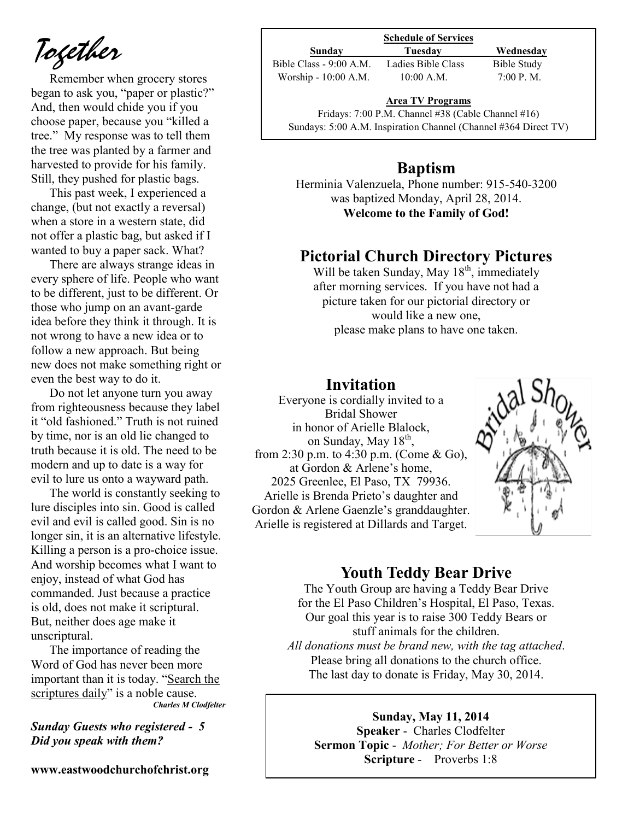*Together*

Remember when grocery stores began to ask you, "paper or plastic?" And, then would chide you if you choose paper, because you "killed a tree." My response was to tell them the tree was planted by a farmer and harvested to provide for his family. Still, they pushed for plastic bags.

This past week, I experienced a change, (but not exactly a reversal) when a store in a western state, did not offer a plastic bag, but asked if I wanted to buy a paper sack. What?

There are always strange ideas in every sphere of life. People who want to be different, just to be different. Or those who jump on an avant-garde idea before they think it through. It is not wrong to have a new idea or to follow a new approach. But being new does not make something right or even the best way to do it.

Do not let anyone turn you away from righteousness because they label it "old fashioned." Truth is not ruined by time, nor is an old lie changed to truth because it is old. The need to be modern and up to date is a way for evil to lure us onto a wayward path.

The world is constantly seeking to lure disciples into sin. Good is called evil and evil is called good. Sin is no longer sin, it is an alternative lifestyle. Killing a person is a pro-choice issue. And worship becomes what I want to enjoy, instead of what God has commanded. Just because a practice is old, does not make it scriptural. But, neither does age make it unscriptural.

The importance of reading the Word of God has never been more important than it is today. "Search the scriptures daily" is a noble cause. *Charles M Clodfelter*

*Sunday Guests who registered - 5 Did you speak with them?*

**www.eastwoodchurchofchrist.org**

## **Schedule of Services**

**Sunday Tuesday Wednesday** Bible Class - 9:00 A.M. Ladies Bible Class Bible Study Worship - 10:00 A.M. 10:00 A.M. 7:00 P.M.

#### **Area TV Programs**

Area TV Programs<br>Fridays: 7:00 P.M. Channel #38 (Cable Channel #16) Sundays: 5:00 A.M. Inspiration Channel (Channel #364 Direct TV)

## **Baptism**

Herminia Valenzuela, Phone number: 915-540-3200 was baptized Monday, April 28, 2014. **Welcome to the Family of God!** 

#### **Pictorial Church Directory Pictures**

Will be taken Sunday, May  $18<sup>th</sup>$ , immediately after morning services. If you have not had a picture taken for our pictorial directory or would like a new one, please make plans to have one taken.

#### **Invitation**

Everyone is cordially invited to a Bridal Shower in honor of Arielle Blalock, on Sunday, May 18<sup>th</sup>, from 2:30 p.m. to 4:30 p.m. (Come & Go), at Gordon & Arlene's home, 2025 Greenlee, El Paso, TX 79936. Arielle is Brenda Prieto's daughter and Gordon & Arlene Gaenzle's granddaughter. Arielle is registered at Dillards and Target.



#### **Youth Teddy Bear Drive**

The Youth Group are having a Teddy Bear Drive for the El Paso Children's Hospital, El Paso, Texas. Our goal this year is to raise 300 Teddy Bears or stuff animals for the children. *All donations must be brand new, with the tag attached*. Please bring all donations to the church office. The last day to donate is Friday, May 30, 2014.

**Sunday, May 11, 2014 Speaker** - Charles Clodfelter **Sermon Topic** - *Mother; For Better or Worse*  **Scripture** - Proverbs 1:8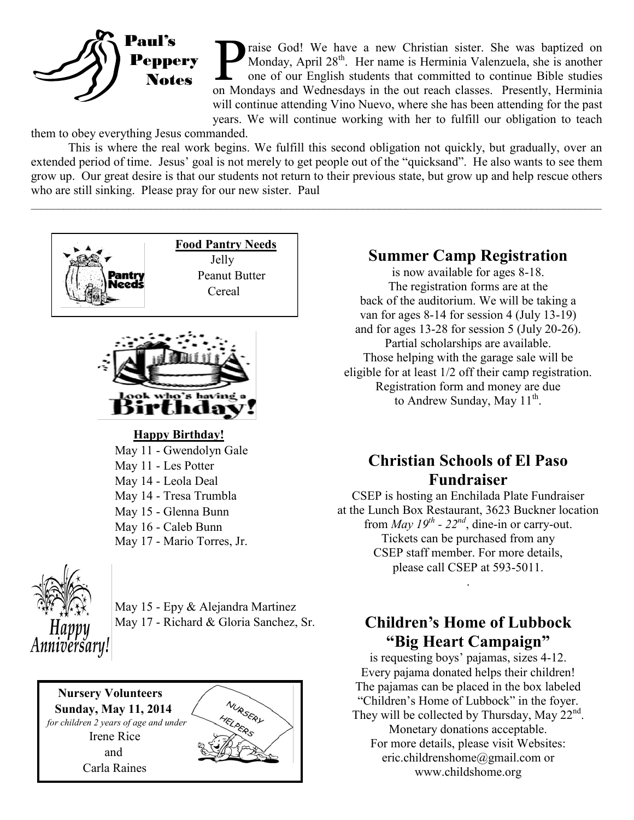

Traise God! We have a new Christian sister. She was baptized on Monday, April 28<sup>th</sup>. Her name is Herminia Valenzuela, she is another one of our English students that committed to continue Bible studies on Mondays and Wedn raise God! We have a new Christian sister. She was baptized on Monday, April 28<sup>th</sup>. Her name is Herminia Valenzuela, she is another one of our English students that committed to continue Bible studies will continue attending Vino Nuevo, where she has been attending for the past years. We will continue working with her to fulfill our obligation to teach

them to obey everything Jesus commanded.

This is where the real work begins. We fulfill this second obligation not quickly, but gradually, over an extended period of time. Jesus' goal is not merely to get people out of the "quicksand". He also wants to see them grow up. Our great desire is that our students not return to their previous state, but grow up and help rescue others who are still sinking. Please pray for our new sister. Paul

 $\mathcal{L}_\mathcal{L} = \mathcal{L}_\mathcal{L} = \mathcal{L}_\mathcal{L} = \mathcal{L}_\mathcal{L} = \mathcal{L}_\mathcal{L} = \mathcal{L}_\mathcal{L} = \mathcal{L}_\mathcal{L} = \mathcal{L}_\mathcal{L} = \mathcal{L}_\mathcal{L} = \mathcal{L}_\mathcal{L} = \mathcal{L}_\mathcal{L} = \mathcal{L}_\mathcal{L} = \mathcal{L}_\mathcal{L} = \mathcal{L}_\mathcal{L} = \mathcal{L}_\mathcal{L} = \mathcal{L}_\mathcal{L} = \mathcal{L}_\mathcal{L}$ 



 *for children 2 years of age and under*  Irene Rice and Carla Raines



## **Summer Camp Registration**

is now available for ages 8-18. The registration forms are at the back of the auditorium. We will be taking a van for ages 8-14 for session 4 (July 13-19) and for ages 13-28 for session 5 (July 20-26). Partial scholarships are available. Those helping with the garage sale will be eligible for at least 1/2 off their camp registration. Registration form and money are due to Andrew Sunday, May  $11^{th}$ .

## **Christian Schools of El Paso Fundraiser**

CSEP is hosting an Enchilada Plate Fundraiser at the Lunch Box Restaurant, 3623 Buckner location from *May 19<sup>th</sup>* - 22<sup>nd</sup>, dine-in or carry-out. Tickets can be purchased from any CSEP staff member. For more details, please call CSEP at 593-5011.

## **Children's Home of Lubbock "Big Heart Campaign"**

.

is requesting boys' pajamas, sizes 4-12. Every pajama donated helps their children! The pajamas can be placed in the box labeled "Children's Home of Lubbock" in the foyer. They will be collected by Thursday, May  $22<sup>nd</sup>$ . Monetary donations acceptable. For more details, please visit Websites: eric.childrenshome@gmail.com or www.childshome.org